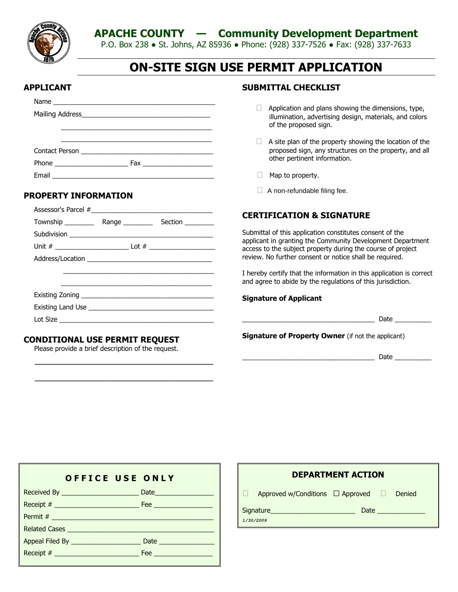**APACHE COUNTY — Community Development Department**



P.O. Box 238 ● St. Johns, AZ 85936 ● Phone: (928) 337-7526 ● Fax: (928) 337-7633

# **ON-SITE SIGN USE PERMIT APPLICATION**

#### **APPLICANT**

| Phone |  |
|-------|--|
|       |  |

#### **PROPERTY INFORMATION**

#### **CONDITIONAL USE PERMIT REQUEST**

Please provide a brief description of the request.

 $\mathcal{L}=\frac{1}{2} \sum_{i=1}^{n} \frac{1}{2} \sum_{j=1}^{n} \frac{1}{2} \sum_{j=1}^{n} \frac{1}{2} \sum_{j=1}^{n} \frac{1}{2} \sum_{j=1}^{n} \frac{1}{2} \sum_{j=1}^{n} \frac{1}{2} \sum_{j=1}^{n} \frac{1}{2} \sum_{j=1}^{n} \frac{1}{2} \sum_{j=1}^{n} \frac{1}{2} \sum_{j=1}^{n} \frac{1}{2} \sum_{j=1}^{n} \frac{1}{2} \sum_{j=1}^{n} \frac{1}{2} \sum_{$ 

 $\mathcal{L}=\frac{1}{2} \sum_{i=1}^{n} \frac{1}{2} \sum_{i=1}^{n} \frac{1}{2} \sum_{i=1}^{n} \frac{1}{2} \sum_{i=1}^{n} \frac{1}{2} \sum_{i=1}^{n} \frac{1}{2} \sum_{i=1}^{n} \frac{1}{2} \sum_{i=1}^{n} \frac{1}{2} \sum_{i=1}^{n} \frac{1}{2} \sum_{i=1}^{n} \frac{1}{2} \sum_{i=1}^{n} \frac{1}{2} \sum_{i=1}^{n} \frac{1}{2} \sum_{i=1}^{n} \frac{1}{2} \sum_{$ 

#### **SUBMITTAL CHECKLIST**

- $\Box$  Application and plans showing the dimensions, type, illumination, advertising design, materials, and colors of the proposed sign.
- $\Box$  A site plan of the property showing the location of the proposed sign, any structures on the property, and all other pertinent information.
- $\Box$  Map to property.
- $\Box$  A non-refundable filing fee.

#### **CERTIFICATION & SIGNATURE**

Submittal of this application constitutes consent of the applicant in granting the Community Development Department access to the subject property during the course of project review. No further consent or notice shall be required.

I hereby certify that the information in this application is correct and agree to abide by the regulations of this jurisdiction.

#### **Signature of Applicant**

**Signature of Property Owner** (if not the applicant)

 $\Box$  Date  $\Box$ 

| <b>OFFICE USE ONLY</b> |
|------------------------|
|                        |
|                        |
|                        |
|                        |
|                        |
|                        |

| <b>DEPARTMENT ACTION</b> |                                              |  |                                                                                                                                                                                                                                |  |  |
|--------------------------|----------------------------------------------|--|--------------------------------------------------------------------------------------------------------------------------------------------------------------------------------------------------------------------------------|--|--|
| T                        | Approved w/Conditions $\Box$ Approved $\Box$ |  | Denied                                                                                                                                                                                                                         |  |  |
|                          | Signature <b>Signature</b>                   |  | Date and the second state of the second state of the second state of the second state of the second state of the second state of the second state of the second state of the second state of the second state of the second st |  |  |
|                          | 1/30/2009                                    |  |                                                                                                                                                                                                                                |  |  |
|                          |                                              |  |                                                                                                                                                                                                                                |  |  |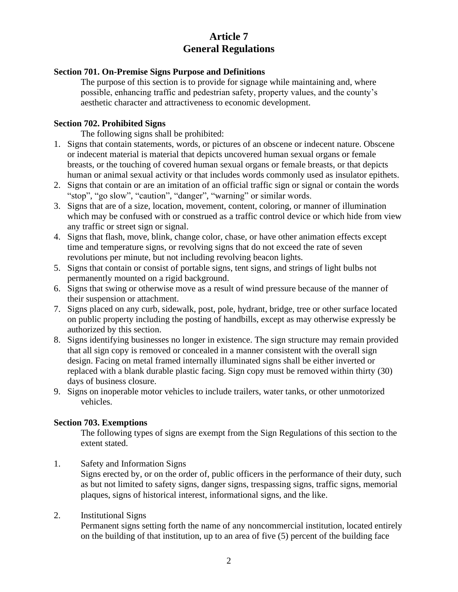## **Article 7 General Regulations**

#### **Section 701. On-Premise Signs Purpose and Definitions**

The purpose of this section is to provide for signage while maintaining and, where possible, enhancing traffic and pedestrian safety, property values, and the county's aesthetic character and attractiveness to economic development.

#### **Section 702. Prohibited Signs**

The following signs shall be prohibited:

- 1. Signs that contain statements, words, or pictures of an obscene or indecent nature. Obscene or indecent material is material that depicts uncovered human sexual organs or female breasts, or the touching of covered human sexual organs or female breasts, or that depicts human or animal sexual activity or that includes words commonly used as insulator epithets.
- 2. Signs that contain or are an imitation of an official traffic sign or signal or contain the words "stop", "go slow", "caution", "danger", "warning" or similar words.
- 3. Signs that are of a size, location, movement, content, coloring, or manner of illumination which may be confused with or construed as a traffic control device or which hide from view any traffic or street sign or signal.
- 4. Signs that flash, move, blink, change color, chase, or have other animation effects except time and temperature signs, or revolving signs that do not exceed the rate of seven revolutions per minute, but not including revolving beacon lights.
- 5. Signs that contain or consist of portable signs, tent signs, and strings of light bulbs not permanently mounted on a rigid background.
- 6. Signs that swing or otherwise move as a result of wind pressure because of the manner of their suspension or attachment.
- 7. Signs placed on any curb, sidewalk, post, pole, hydrant, bridge, tree or other surface located on public property including the posting of handbills, except as may otherwise expressly be authorized by this section.
- 8. Signs identifying businesses no longer in existence. The sign structure may remain provided that all sign copy is removed or concealed in a manner consistent with the overall sign design. Facing on metal framed internally illuminated signs shall be either inverted or replaced with a blank durable plastic facing. Sign copy must be removed within thirty (30) days of business closure.
- 9. Signs on inoperable motor vehicles to include trailers, water tanks, or other unmotorized vehicles.

#### **Section 703. Exemptions**

The following types of signs are exempt from the Sign Regulations of this section to the extent stated.

1. Safety and Information Signs

Signs erected by, or on the order of, public officers in the performance of their duty, such as but not limited to safety signs, danger signs, trespassing signs, traffic signs, memorial plaques, signs of historical interest, informational signs, and the like.

#### 2. Institutional Signs

Permanent signs setting forth the name of any noncommercial institution, located entirely on the building of that institution, up to an area of five (5) percent of the building face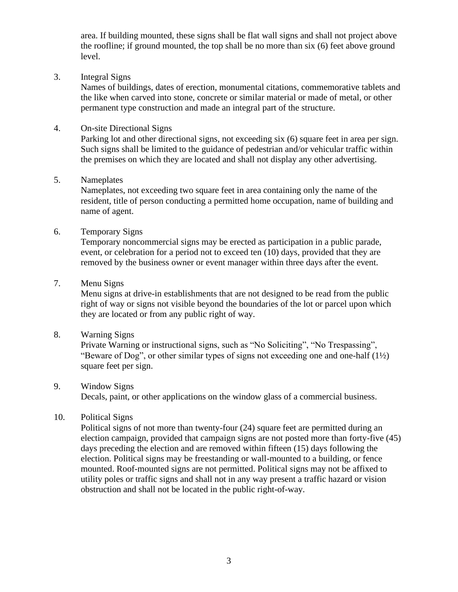area. If building mounted, these signs shall be flat wall signs and shall not project above the roofline; if ground mounted, the top shall be no more than six (6) feet above ground level.

3. Integral Signs

Names of buildings, dates of erection, monumental citations, commemorative tablets and the like when carved into stone, concrete or similar material or made of metal, or other permanent type construction and made an integral part of the structure.

4. On-site Directional Signs

Parking lot and other directional signs, not exceeding six (6) square feet in area per sign. Such signs shall be limited to the guidance of pedestrian and/or vehicular traffic within the premises on which they are located and shall not display any other advertising.

5. Nameplates

Nameplates, not exceeding two square feet in area containing only the name of the resident, title of person conducting a permitted home occupation, name of building and name of agent.

6. Temporary Signs

Temporary noncommercial signs may be erected as participation in a public parade, event, or celebration for a period not to exceed ten (10) days, provided that they are removed by the business owner or event manager within three days after the event.

### 7. Menu Signs

Menu signs at drive-in establishments that are not designed to be read from the public right of way or signs not visible beyond the boundaries of the lot or parcel upon which they are located or from any public right of way.

8. Warning Signs

Private Warning or instructional signs, such as "No Soliciting", "No Trespassing", "Beware of Dog", or other similar types of signs not exceeding one and one-half  $(1\frac{1}{2})$ square feet per sign.

### 9. Window Signs

Decals, paint, or other applications on the window glass of a commercial business.

### 10. Political Signs

Political signs of not more than twenty-four (24) square feet are permitted during an election campaign, provided that campaign signs are not posted more than forty-five (45) days preceding the election and are removed within fifteen (15) days following the election. Political signs may be freestanding or wall-mounted to a building, or fence mounted. Roof-mounted signs are not permitted. Political signs may not be affixed to utility poles or traffic signs and shall not in any way present a traffic hazard or vision obstruction and shall not be located in the public right-of-way.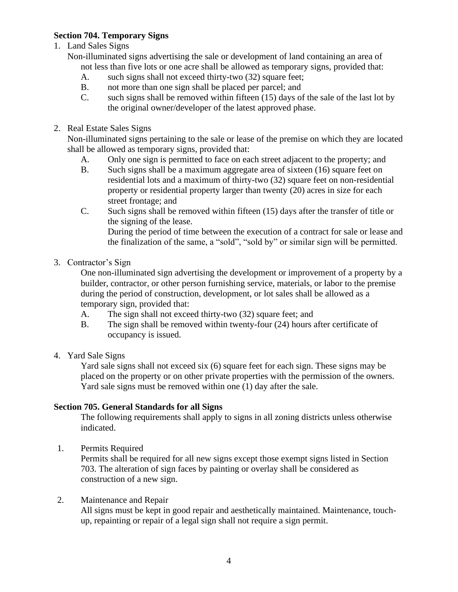### **Section 704. Temporary Signs**

1. Land Sales Signs

Non-illuminated signs advertising the sale or development of land containing an area of not less than five lots or one acre shall be allowed as temporary signs, provided that:

- A. such signs shall not exceed thirty-two (32) square feet;
- B. not more than one sign shall be placed per parcel; and
- C. such signs shall be removed within fifteen (15) days of the sale of the last lot by the original owner/developer of the latest approved phase.
- 2. Real Estate Sales Signs

Non-illuminated signs pertaining to the sale or lease of the premise on which they are located shall be allowed as temporary signs, provided that:

- A. Only one sign is permitted to face on each street adjacent to the property; and
- B. Such signs shall be a maximum aggregate area of sixteen (16) square feet on residential lots and a maximum of thirty-two (32) square feet on non-residential property or residential property larger than twenty (20) acres in size for each street frontage; and
- C. Such signs shall be removed within fifteen (15) days after the transfer of title or the signing of the lease. During the period of time between the execution of a contract for sale or lease and the finalization of the same, a "sold", "sold by" or similar sign will be permitted.
- 3. Contractor's Sign

One non-illuminated sign advertising the development or improvement of a property by a builder, contractor, or other person furnishing service, materials, or labor to the premise during the period of construction, development, or lot sales shall be allowed as a temporary sign, provided that:

- A. The sign shall not exceed thirty-two (32) square feet; and
- B. The sign shall be removed within twenty-four (24) hours after certificate of occupancy is issued.
- 4. Yard Sale Signs

Yard sale signs shall not exceed six (6) square feet for each sign. These signs may be placed on the property or on other private properties with the permission of the owners. Yard sale signs must be removed within one (1) day after the sale.

### **Section 705. General Standards for all Signs**

The following requirements shall apply to signs in all zoning districts unless otherwise indicated.

1. Permits Required

Permits shall be required for all new signs except those exempt signs listed in Section 703. The alteration of sign faces by painting or overlay shall be considered as construction of a new sign.

2. Maintenance and Repair

All signs must be kept in good repair and aesthetically maintained. Maintenance, touchup, repainting or repair of a legal sign shall not require a sign permit.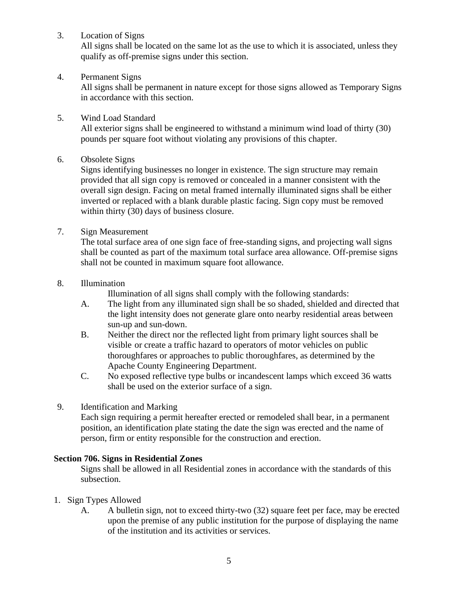3. Location of Signs

All signs shall be located on the same lot as the use to which it is associated, unless they qualify as off-premise signs under this section.

4. Permanent Signs

All signs shall be permanent in nature except for those signs allowed as Temporary Signs in accordance with this section.

### 5. Wind Load Standard

All exterior signs shall be engineered to withstand a minimum wind load of thirty (30) pounds per square foot without violating any provisions of this chapter.

6. Obsolete Signs

Signs identifying businesses no longer in existence. The sign structure may remain provided that all sign copy is removed or concealed in a manner consistent with the overall sign design. Facing on metal framed internally illuminated signs shall be either inverted or replaced with a blank durable plastic facing. Sign copy must be removed within thirty (30) days of business closure.

7. Sign Measurement

The total surface area of one sign face of free-standing signs, and projecting wall signs shall be counted as part of the maximum total surface area allowance. Off-premise signs shall not be counted in maximum square foot allowance.

8. Illumination

Illumination of all signs shall comply with the following standards:

- A. The light from any illuminated sign shall be so shaded, shielded and directed that the light intensity does not generate glare onto nearby residential areas between sun-up and sun-down.
- B. Neither the direct nor the reflected light from primary light sources shall be visible or create a traffic hazard to operators of motor vehicles on public thoroughfares or approaches to public thoroughfares, as determined by the Apache County Engineering Department.
- C. No exposed reflective type bulbs or incandescent lamps which exceed 36 watts shall be used on the exterior surface of a sign.
- 9. Identification and Marking

Each sign requiring a permit hereafter erected or remodeled shall bear, in a permanent position, an identification plate stating the date the sign was erected and the name of person, firm or entity responsible for the construction and erection.

### **Section 706. Signs in Residential Zones**

Signs shall be allowed in all Residential zones in accordance with the standards of this subsection.

- 1. Sign Types Allowed
	- A. A bulletin sign, not to exceed thirty-two (32) square feet per face, may be erected upon the premise of any public institution for the purpose of displaying the name of the institution and its activities or services.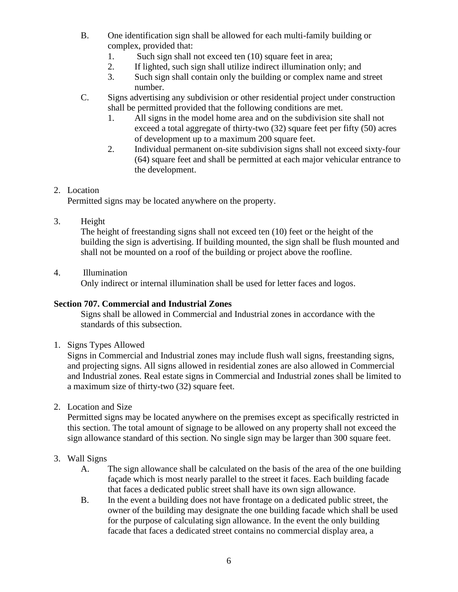- B. One identification sign shall be allowed for each multi-family building or complex, provided that:
	- 1. Such sign shall not exceed ten (10) square feet in area;
	- 2. If lighted, such sign shall utilize indirect illumination only; and
	- 3. Such sign shall contain only the building or complex name and street number.
- C. Signs advertising any subdivision or other residential project under construction shall be permitted provided that the following conditions are met.
	- 1. All signs in the model home area and on the subdivision site shall not exceed a total aggregate of thirty-two (32) square feet per fifty (50) acres of development up to a maximum 200 square feet.
	- 2. Individual permanent on-site subdivision signs shall not exceed sixty-four (64) square feet and shall be permitted at each major vehicular entrance to the development.

### 2. Location

Permitted signs may be located anywhere on the property.

### 3. Height

The height of freestanding signs shall not exceed ten (10) feet or the height of the building the sign is advertising. If building mounted, the sign shall be flush mounted and shall not be mounted on a roof of the building or project above the roofline.

#### 4. Illumination

Only indirect or internal illumination shall be used for letter faces and logos.

### **Section 707. Commercial and Industrial Zones**

Signs shall be allowed in Commercial and Industrial zones in accordance with the standards of this subsection.

1. Signs Types Allowed

Signs in Commercial and Industrial zones may include flush wall signs, freestanding signs, and projecting signs. All signs allowed in residential zones are also allowed in Commercial and Industrial zones. Real estate signs in Commercial and Industrial zones shall be limited to a maximum size of thirty-two (32) square feet.

2. Location and Size

Permitted signs may be located anywhere on the premises except as specifically restricted in this section. The total amount of signage to be allowed on any property shall not exceed the sign allowance standard of this section. No single sign may be larger than 300 square feet.

### 3. Wall Signs

- A. The sign allowance shall be calculated on the basis of the area of the one building façade which is most nearly parallel to the street it faces. Each building facade that faces a dedicated public street shall have its own sign allowance.
- B. In the event a building does not have frontage on a dedicated public street, the owner of the building may designate the one building facade which shall be used for the purpose of calculating sign allowance. In the event the only building facade that faces a dedicated street contains no commercial display area, a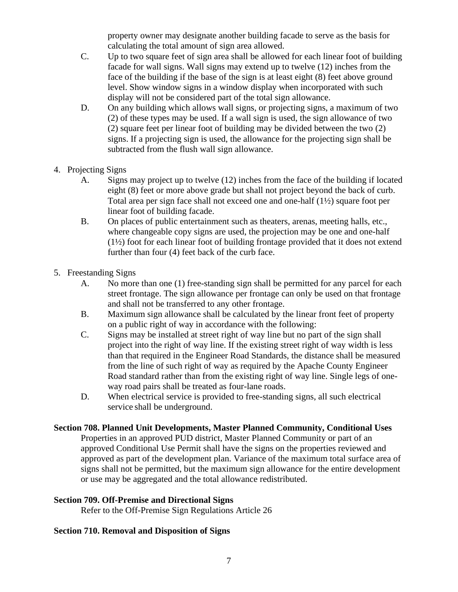property owner may designate another building facade to serve as the basis for calculating the total amount of sign area allowed.

- C. Up to two square feet of sign area shall be allowed for each linear foot of building facade for wall signs. Wall signs may extend up to twelve (12) inches from the face of the building if the base of the sign is at least eight (8) feet above ground level. Show window signs in a window display when incorporated with such display will not be considered part of the total sign allowance.
- D. On any building which allows wall signs, or projecting signs, a maximum of two (2) of these types may be used. If a wall sign is used, the sign allowance of two (2) square feet per linear foot of building may be divided between the two (2) signs. If a projecting sign is used, the allowance for the projecting sign shall be subtracted from the flush wall sign allowance.
- 4. Projecting Signs
	- A. Signs may project up to twelve (12) inches from the face of the building if located eight (8) feet or more above grade but shall not project beyond the back of curb. Total area per sign face shall not exceed one and one-half (1½) square foot per linear foot of building facade.
	- B. On places of public entertainment such as theaters, arenas, meeting halls, etc., where changeable copy signs are used, the projection may be one and one-half  $(1\frac{1}{2})$  foot for each linear foot of building frontage provided that it does not extend further than four (4) feet back of the curb face.
- 5. Freestanding Signs
	- A. No more than one (1) free-standing sign shall be permitted for any parcel for each street frontage. The sign allowance per frontage can only be used on that frontage and shall not be transferred to any other frontage.
	- B. Maximum sign allowance shall be calculated by the linear front feet of property on a public right of way in accordance with the following:
	- C. Signs may be installed at street right of way line but no part of the sign shall project into the right of way line. If the existing street right of way width is less than that required in the Engineer Road Standards, the distance shall be measured from the line of such right of way as required by the Apache County Engineer Road standard rather than from the existing right of way line. Single legs of oneway road pairs shall be treated as four-lane roads.
	- D. When electrical service is provided to free-standing signs, all such electrical service shall be underground.

### **Section 708. Planned Unit Developments, Master Planned Community, Conditional Uses**

Properties in an approved PUD district, Master Planned Community or part of an approved Conditional Use Permit shall have the signs on the properties reviewed and approved as part of the development plan. Variance of the maximum total surface area of signs shall not be permitted, but the maximum sign allowance for the entire development or use may be aggregated and the total allowance redistributed.

### **Section 709. Off-Premise and Directional Signs**

Refer to the Off-Premise Sign Regulations Article 26

### **Section 710. Removal and Disposition of Signs**